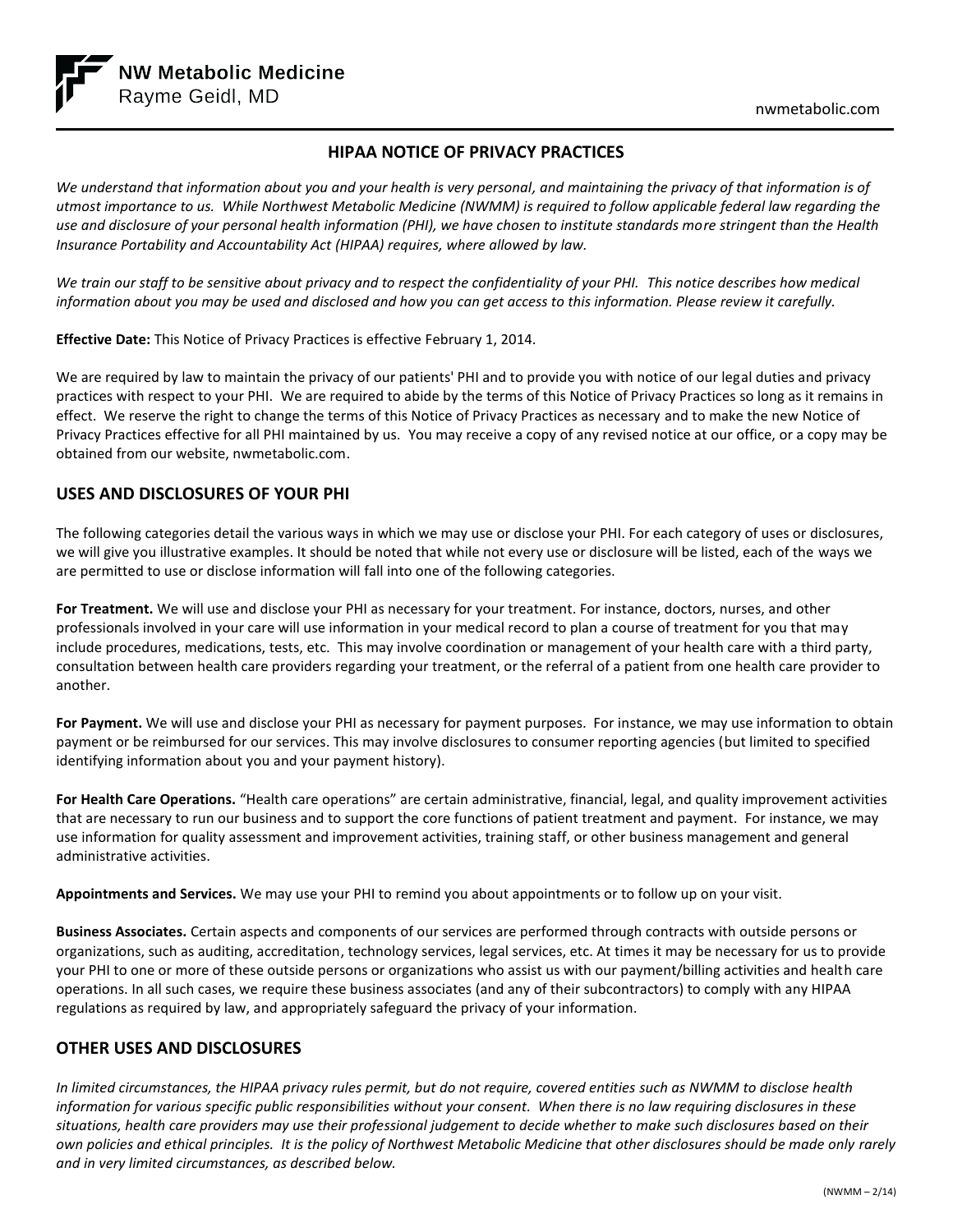

# **HIPAA NOTICE OF PRIVACY PRACTICES**

*We understand that information about you and your health is very personal, and maintaining the privacy of that information is of utmost importance to us. While Northwest Metabolic Medicine (NWMM) is required to follow applicable federal law regarding the use and disclosure of your personal health information (PHI), we have chosen to institute standards more stringent than the Health Insurance Portability and Accountability Act (HIPAA) requires, where allowed by law.*

*We train our staff to be sensitive about privacy and to respect the confidentiality of your PHI. This notice describes how medical information about you may be used and disclosed and how you can get access to this information. Please review it carefully.*

**Effective Date:** This Notice of Privacy Practices is effective February 1, 2014.

We are required by law to maintain the privacy of our patients' PHI and to provide you with notice of our legal duties and privacy practices with respect to your PHI. We are required to abide by the terms of this Notice of Privacy Practices so long as it remains in effect. We reserve the right to change the terms of this Notice of Privacy Practices as necessary and to make the new Notice of Privacy Practices effective for all PHI maintained by us. You may receive a copy of any revised notice at our office, or a copy may be obtained from our website, nwmetabolic.com.

#### **USES AND DISCLOSURES OF YOUR PHI**

The following categories detail the various ways in which we may use or disclose your PHI. For each category of uses or disclosures, we will give you illustrative examples. It should be noted that while not every use or disclosure will be listed, each of the ways we are permitted to use or disclose information will fall into one of the following categories.

**For Treatment.** We will use and disclose your PHI as necessary for your treatment. For instance, doctors, nurses, and other professionals involved in your care will use information in your medical record to plan a course of treatment for you that may include procedures, medications, tests, etc. This may involve coordination or management of your health care with a third party, consultation between health care providers regarding your treatment, or the referral of a patient from one health care provider to another.

**For Payment.** We will use and disclose your PHI as necessary for payment purposes. For instance, we may use information to obtain payment or be reimbursed for our services. This may involve disclosures to consumer reporting agencies (but limited to specified identifying information about you and your payment history).

**For Health Care Operations.** "Health care operations" are certain administrative, financial, legal, and quality improvement activities that are necessary to run our business and to support the core functions of patient treatment and payment. For instance, we may use information for quality assessment and improvement activities, training staff, or other business management and general administrative activities.

**Appointments and Services.** We may use your PHI to remind you about appointments or to follow up on your visit.

**Business Associates.** Certain aspects and components of our services are performed through contracts with outside persons or organizations, such as auditing, accreditation, technology services, legal services, etc. At times it may be necessary for us to provide your PHI to one or more of these outside persons or organizations who assist us with our payment/billing activities and health care operations. In all such cases, we require these business associates (and any of their subcontractors) to comply with any HIPAA regulations as required by law, and appropriately safeguard the privacy of your information.

### **OTHER USES AND DISCLOSURES**

*In limited circumstances, the HIPAA privacy rules permit, but do not require, covered entities such as NWMM to disclose health information for various specific public responsibilities without your consent. When there is no law requiring disclosures in these situations, health care providers may use their professional judgement to decide whether to make such disclosures based on their own policies and ethical principles. It is the policy of Northwest Metabolic Medicine that other disclosures should be made only rarely and in very limited circumstances, as described below.*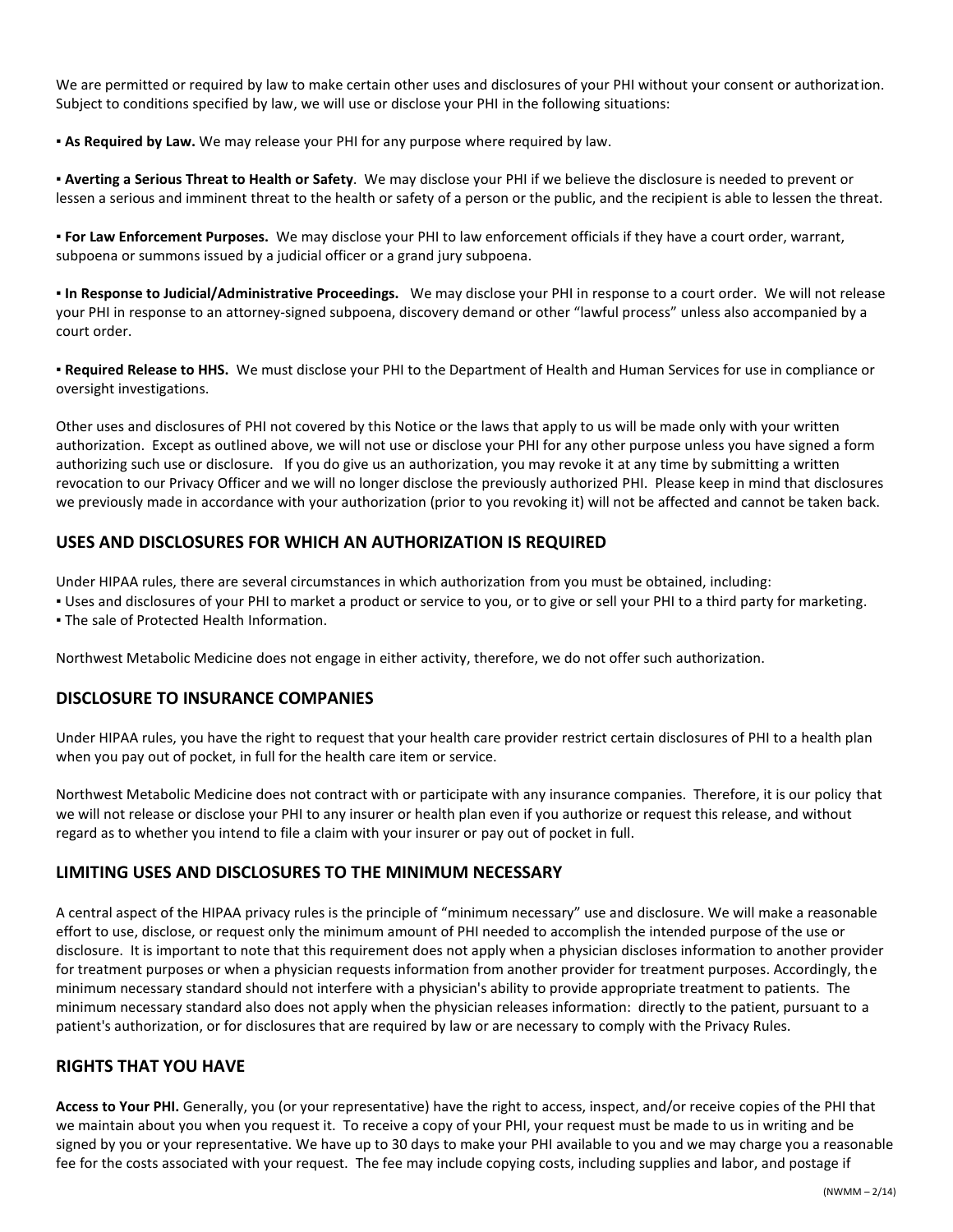We are permitted or required by law to make certain other uses and disclosures of your PHI without your consent or authorization. Subject to conditions specified by law, we will use or disclose your PHI in the following situations:

▪ **As Required by Law.** We may release your PHI for any purpose where required by law.

▪ **Averting a Serious Threat to Health or Safety**. We may disclose your PHI if we believe the disclosure is needed to prevent or lessen a serious and imminent threat to the health or safety of a person or the public, and the recipient is able to lessen the threat.

▪ **For Law Enforcement Purposes.** We may disclose your PHI to law enforcement officials if they have a court order, warrant, subpoena or summons issued by a judicial officer or a grand jury subpoena.

▪ **In Response to Judicial/Administrative Proceedings.** We may disclose your PHI in response to a court order. We will not release your PHI in response to an attorney-signed subpoena, discovery demand or other "lawful process" unless also accompanied by a court order.

▪ **Required Release to HHS.** We must disclose your PHI to the Department of Health and Human Services for use in compliance or oversight investigations.

Other uses and disclosures of PHI not covered by this Notice or the laws that apply to us will be made only with your written authorization. Except as outlined above, we will not use or disclose your PHI for any other purpose unless you have signed a form authorizing such use or disclosure. If you do give us an authorization, you may revoke it at any time by submitting a written revocation to our Privacy Officer and we will no longer disclose the previously authorized PHI. Please keep in mind that disclosures we previously made in accordance with your authorization (prior to you revoking it) will not be affected and cannot be taken back.

# **USES AND DISCLOSURES FOR WHICH AN AUTHORIZATION IS REQUIRED**

Under HIPAA rules, there are several circumstances in which authorization from you must be obtained, including:

▪ Uses and disclosures of your PHI to market a product or service to you, or to give or sell your PHI to a third party for marketing. • The sale of Protected Health Information.

Northwest Metabolic Medicine does not engage in either activity, therefore, we do not offer such authorization.

### **DISCLOSURE TO INSURANCE COMPANIES**

Under HIPAA rules, you have the right to request that your health care provider restrict certain disclosures of PHI to a health plan when you pay out of pocket, in full for the health care item or service.

Northwest Metabolic Medicine does not contract with or participate with any insurance companies. Therefore, it is our policy that we will not release or disclose your PHI to any insurer or health plan even if you authorize or request this release, and without regard as to whether you intend to file a claim with your insurer or pay out of pocket in full.

### **LIMITING USES AND DISCLOSURES TO THE MINIMUM NECESSARY**

A central aspect of the HIPAA privacy rules is the principle of "minimum necessary" use and disclosure. We will make a reasonable effort to use, disclose, or request only the minimum amount of PHI needed to accomplish the intended purpose of the use or disclosure. It is important to note that this requirement does not apply when a physician discloses information to another provider for treatment purposes or when a physician requests information from another provider for treatment purposes. Accordingly, the minimum necessary standard should not interfere with a physician's ability to provide appropriate treatment to patients. The minimum necessary standard also does not apply when the physician releases information: directly to the patient, pursuant to a patient's authorization, or for disclosures that are required by law or are necessary to comply with the Privacy Rules.

### **RIGHTS THAT YOU HAVE**

**Access to Your PHI.** Generally, you (or your representative) have the right to access, inspect, and/or receive copies of the PHI that we maintain about you when you request it. To receive a copy of your PHI, your request must be made to us in writing and be signed by you or your representative. We have up to 30 days to make your PHI available to you and we may charge you a reasonable fee for the costs associated with your request. The fee may include copying costs, including supplies and labor, and postage if